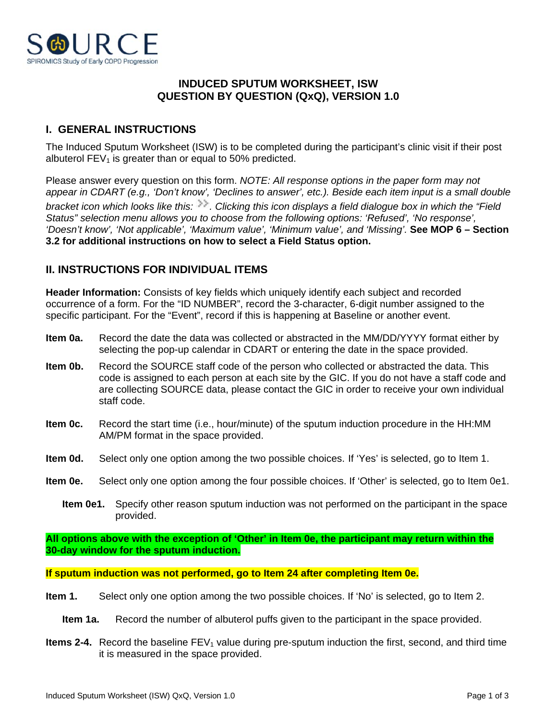

## **INDUCED SPUTUM WORKSHEET, ISW QUESTION BY QUESTION (QxQ), VERSION 1.0**

# **I. GENERAL INSTRUCTIONS**

The Induced Sputum Worksheet (ISW) is to be completed during the participant's clinic visit if their post albuterol  $FEV<sub>1</sub>$  is greater than or equal to 50% predicted.

Please answer every question on this form. *NOTE: All response options in the paper form may not appear in CDART (e.g., 'Don't know', 'Declines to answer', etc.). Beside each item input is a small double bracket icon which looks like this: . Clicking this icon displays a field dialogue box in which the "Field Status" selection menu allows you to choose from the following options: 'Refused', 'No response', 'Doesn't know', 'Not applicable', 'Maximum value', 'Minimum value', and 'Missing'.* **See MOP 6 – Section 3.2 for additional instructions on how to select a Field Status option.**

### **II. INSTRUCTIONS FOR INDIVIDUAL ITEMS**

**Header Information:** Consists of key fields which uniquely identify each subject and recorded occurrence of a form. For the "ID NUMBER", record the 3-character, 6-digit number assigned to the specific participant. For the "Event", record if this is happening at Baseline or another event.

- **Item 0a.** Record the date the data was collected or abstracted in the MM/DD/YYYY format either by selecting the pop-up calendar in CDART or entering the date in the space provided.
- **Item 0b.** Record the SOURCE staff code of the person who collected or abstracted the data. This code is assigned to each person at each site by the GIC. If you do not have a staff code and are collecting SOURCE data, please contact the GIC in order to receive your own individual staff code.
- **Item 0c.** Record the start time (i.e., hour/minute) of the sputum induction procedure in the HH:MM AM/PM format in the space provided.
- **Item 0d.** Select only one option among the two possible choices. If 'Yes' is selected, go to Item 1.
- **Item 0e.** Select only one option among the four possible choices. If 'Other' is selected, go to Item 0e1.
	- **Item 0e1.** Specify other reason sputum induction was not performed on the participant in the space provided.

**All options above with the exception of 'Other' in Item 0e, the participant may return within the 30-day window for the sputum induction.**

**If sputum induction was not performed, go to Item 24 after completing Item 0e.**

- **Item 1.** Select only one option among the two possible choices. If 'No' is selected, go to Item 2.
	- **Item 1a.** Record the number of albuterol puffs given to the participant in the space provided.
- **Items 2-4.** Record the baseline  $FEV<sub>1</sub>$  value during pre-sputum induction the first, second, and third time it is measured in the space provided.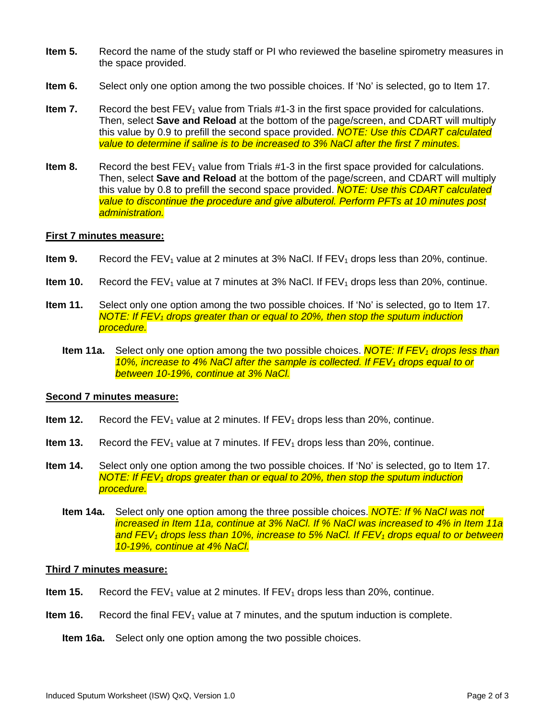- **Item 5.** Record the name of the study staff or PI who reviewed the baseline spirometry measures in the space provided.
- **Item 6.** Select only one option among the two possible choices. If 'No' is selected, go to Item 17.
- **Item 7.** Record the best  $FEV_1$  value from Trials  $#1-3$  in the first space provided for calculations. Then, select **Save and Reload** at the bottom of the page/screen, and CDART will multiply this value by 0.9 to prefill the second space provided. *NOTE: Use this CDART calculated value to determine if saline is to be increased to 3% NaCl after the first 7 minutes.*
- **Item 8.** Record the best FEV<sub>1</sub> value from Trials #1-3 in the first space provided for calculations. Then, select **Save and Reload** at the bottom of the page/screen, and CDART will multiply this value by 0.8 to prefill the second space provided. *NOTE: Use this CDART calculated value to discontinue the procedure and give albuterol. Perform PFTs at 10 minutes post administration.*

### **First 7 minutes measure:**

- **Item 9.** Record the  $FEV_1$  value at 2 minutes at 3% NaCl. If  $FEV_1$  drops less than 20%, continue.
- **Item 10.** Record the  $FEV_1$  value at 7 minutes at 3% NaCl. If  $FEV_1$  drops less than 20%, continue.
- **Item 11.** Select only one option among the two possible choices. If 'No' is selected, go to Item 17. *NOTE: If FEV1 drops greater than or equal to 20%, then stop the sputum induction procedure.*
	- **Item 11a.** Select only one option among the two possible choices. *NOTE: If FEV1 drops less than 10%, increase to 4% NaCl after the sample is collected. If FEV1 drops equal to or between 10-19%, continue at 3% NaCl.*

#### **Second 7 minutes measure:**

- **Item 12.** Record the  $FEV_1$  value at 2 minutes. If  $FEV_1$  drops less than 20%, continue.
- **Item 13.** Record the  $FEV_1$  value at 7 minutes. If  $FEV_1$  drops less than 20%, continue.
- **Item 14.** Select only one option among the two possible choices. If 'No' is selected, go to Item 17. *NOTE: If FEV1 drops greater than or equal to 20%, then stop the sputum induction procedure.*
	- **Item 14a.** Select only one option among the three possible choices. *NOTE: If % NaCl was not increased in Item 11a, continue at 3% NaCl. If % NaCl was increased to 4% in Item 11a and FEV1 drops less than 10%, increase to 5% NaCl. If FEV1 drops equal to or between 10-19%, continue at 4% NaCl.*

### **Third 7 minutes measure:**

- **Item 15.** Record the  $FEV_1$  value at 2 minutes. If  $FEV_1$  drops less than 20%, continue.
- **Item 16.** Record the final  $FEV_1$  value at 7 minutes, and the sputum induction is complete.
	- **Item 16a.** Select only one option among the two possible choices.